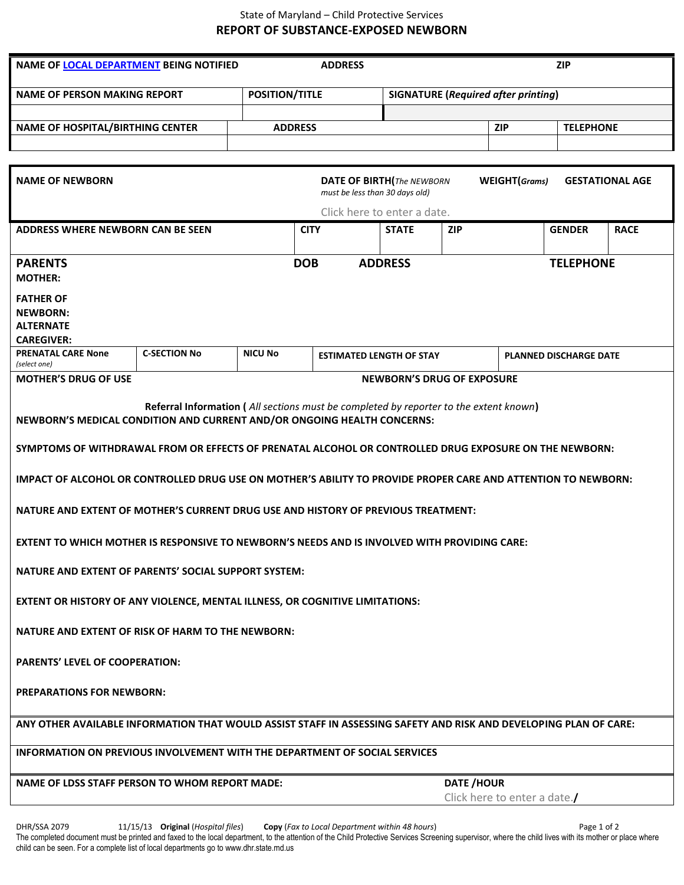## State of Maryland – Child Protective Services **REPORT OF SUBSTANCE-EXPOSED NEWBORN**

| NAME OF LOCAL DEPARTMENT BEING NOTIFIED<br><b>ADDRESS</b><br><b>ZIP</b>                                                                  |                     |                |                       |                                   |                                            |                  |                               |                  |             |  |
|------------------------------------------------------------------------------------------------------------------------------------------|---------------------|----------------|-----------------------|-----------------------------------|--------------------------------------------|------------------|-------------------------------|------------------|-------------|--|
| <b>NAME OF PERSON MAKING REPORT</b>                                                                                                      |                     |                | <b>POSITION/TITLE</b> |                                   | <b>SIGNATURE (Required after printing)</b> |                  |                               |                  |             |  |
|                                                                                                                                          |                     |                |                       |                                   |                                            |                  |                               |                  |             |  |
| <b>NAME OF HOSPITAL/BIRTHING CENTER</b>                                                                                                  |                     |                | <b>ADDRESS</b>        |                                   | <b>ZIP</b>                                 |                  |                               | <b>TELEPHONE</b> |             |  |
|                                                                                                                                          |                     |                |                       |                                   |                                            |                  |                               |                  |             |  |
|                                                                                                                                          |                     |                |                       |                                   |                                            |                  |                               |                  |             |  |
| WEIGHT(Grams)<br><b>NAME OF NEWBORN</b><br><b>DATE OF BIRTH</b> (The NEWBORN<br><b>GESTATIONAL AGE</b><br>must be less than 30 days old) |                     |                |                       |                                   |                                            |                  |                               |                  |             |  |
|                                                                                                                                          |                     |                |                       | Click here to enter a date.       |                                            |                  |                               |                  |             |  |
| <b>ADDRESS WHERE NEWBORN CAN BE SEEN</b>                                                                                                 |                     |                | <b>CITY</b>           |                                   | <b>STATE</b>                               | <b>ZIP</b>       |                               | <b>GENDER</b>    | <b>RACE</b> |  |
| <b>PARENTS</b>                                                                                                                           |                     |                | <b>DOB</b>            | <b>ADDRESS</b>                    |                                            |                  |                               | <b>TELEPHONE</b> |             |  |
| <b>MOTHER:</b>                                                                                                                           |                     |                |                       |                                   |                                            |                  |                               |                  |             |  |
| <b>FATHER OF</b>                                                                                                                         |                     |                |                       |                                   |                                            |                  |                               |                  |             |  |
| <b>NEWBORN:</b>                                                                                                                          |                     |                |                       |                                   |                                            |                  |                               |                  |             |  |
| <b>ALTERNATE</b><br><b>CAREGIVER:</b>                                                                                                    |                     |                |                       |                                   |                                            |                  |                               |                  |             |  |
| <b>PRENATAL CARE None</b><br>(select one)                                                                                                | <b>C-SECTION No</b> | <b>NICU No</b> |                       | <b>ESTIMATED LENGTH OF STAY</b>   |                                            |                  | <b>PLANNED DISCHARGE DATE</b> |                  |             |  |
| <b>MOTHER'S DRUG OF USE</b>                                                                                                              |                     |                |                       | <b>NEWBORN'S DRUG OF EXPOSURE</b> |                                            |                  |                               |                  |             |  |
|                                                                                                                                          |                     |                |                       |                                   |                                            |                  |                               |                  |             |  |
| Referral Information (All sections must be completed by reporter to the extent known)                                                    |                     |                |                       |                                   |                                            |                  |                               |                  |             |  |
| NEWBORN'S MEDICAL CONDITION AND CURRENT AND/OR ONGOING HEALTH CONCERNS:                                                                  |                     |                |                       |                                   |                                            |                  |                               |                  |             |  |
| SYMPTOMS OF WITHDRAWAL FROM OR EFFECTS OF PRENATAL ALCOHOL OR CONTROLLED DRUG EXPOSURE ON THE NEWBORN:                                   |                     |                |                       |                                   |                                            |                  |                               |                  |             |  |
| IMPACT OF ALCOHOL OR CONTROLLED DRUG USE ON MOTHER'S ABILITY TO PROVIDE PROPER CARE AND ATTENTION TO NEWBORN:                            |                     |                |                       |                                   |                                            |                  |                               |                  |             |  |
| NATURE AND EXTENT OF MOTHER'S CURRENT DRUG USE AND HISTORY OF PREVIOUS TREATMENT:                                                        |                     |                |                       |                                   |                                            |                  |                               |                  |             |  |
| EXTENT TO WHICH MOTHER IS RESPONSIVE TO NEWBORN'S NEEDS AND IS INVOLVED WITH PROVIDING CARE:                                             |                     |                |                       |                                   |                                            |                  |                               |                  |             |  |
| <b>NATURE AND EXTENT OF PARENTS' SOCIAL SUPPORT SYSTEM:</b>                                                                              |                     |                |                       |                                   |                                            |                  |                               |                  |             |  |
| EXTENT OR HISTORY OF ANY VIOLENCE, MENTAL ILLNESS, OR COGNITIVE LIMITATIONS:                                                             |                     |                |                       |                                   |                                            |                  |                               |                  |             |  |
| NATURE AND EXTENT OF RISK OF HARM TO THE NEWBORN:                                                                                        |                     |                |                       |                                   |                                            |                  |                               |                  |             |  |
| <b>PARENTS' LEVEL OF COOPERATION:</b>                                                                                                    |                     |                |                       |                                   |                                            |                  |                               |                  |             |  |
| <b>PREPARATIONS FOR NEWBORN:</b>                                                                                                         |                     |                |                       |                                   |                                            |                  |                               |                  |             |  |
| ANY OTHER AVAILABLE INFORMATION THAT WOULD ASSIST STAFF IN ASSESSING SAFETY AND RISK AND DEVELOPING PLAN OF CARE:                        |                     |                |                       |                                   |                                            |                  |                               |                  |             |  |
| <b>INFORMATION ON PREVIOUS INVOLVEMENT WITH THE DEPARTMENT OF SOCIAL SERVICES</b>                                                        |                     |                |                       |                                   |                                            |                  |                               |                  |             |  |
| <b>NAME OF LDSS STAFF PERSON TO WHOM REPORT MADE:</b>                                                                                    |                     |                |                       |                                   |                                            | <b>DATE/HOUR</b> |                               |                  |             |  |
|                                                                                                                                          |                     |                |                       |                                   |                                            |                  | Click here to enter a date.   |                  |             |  |
|                                                                                                                                          |                     |                |                       |                                   |                                            |                  |                               |                  |             |  |